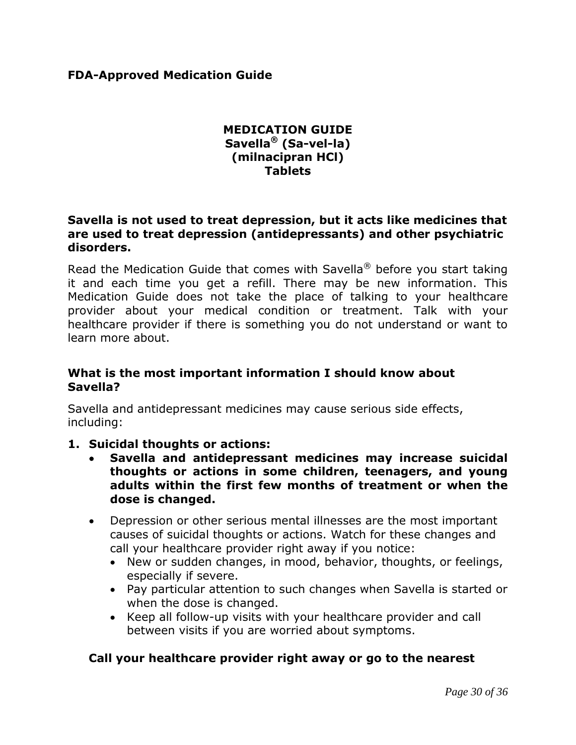## **FDA-Approved Medication Guide**

## **MEDICATION GUIDE Savella® (Sa-vel-la) (milnacipran HCl) Tablets**

#### **Savella is not used to treat depression, but it acts like medicines that are used to treat depression (antidepressants) and other psychiatric disorders.**

Read the Medication Guide that comes with Savella<sup>®</sup> before you start taking it and each time you get a refill. There may be new information. This Medication Guide does not take the place of talking to your healthcare provider about your medical condition or treatment. Talk with your healthcare provider if there is something you do not understand or want to learn more about.

#### **What is the most important information I should know about Savella?**

Savella and antidepressant medicines may cause serious side effects, including:

## **1. Suicidal thoughts or actions:**

- **Savella and antidepressant medicines may increase suicidal thoughts or actions in some children, teenagers, and young adults within the first few months of treatment or when the dose is changed.**
- Depression or other serious mental illnesses are the most important causes of suicidal thoughts or actions. Watch for these changes and call your healthcare provider right away if you notice:
	- New or sudden changes, in mood, behavior, thoughts, or feelings, especially if severe.
	- Pay particular attention to such changes when Savella is started or when the dose is changed.
	- Keep all follow-up visits with your healthcare provider and call between visits if you are worried about symptoms.

## **Call your healthcare provider right away or go to the nearest**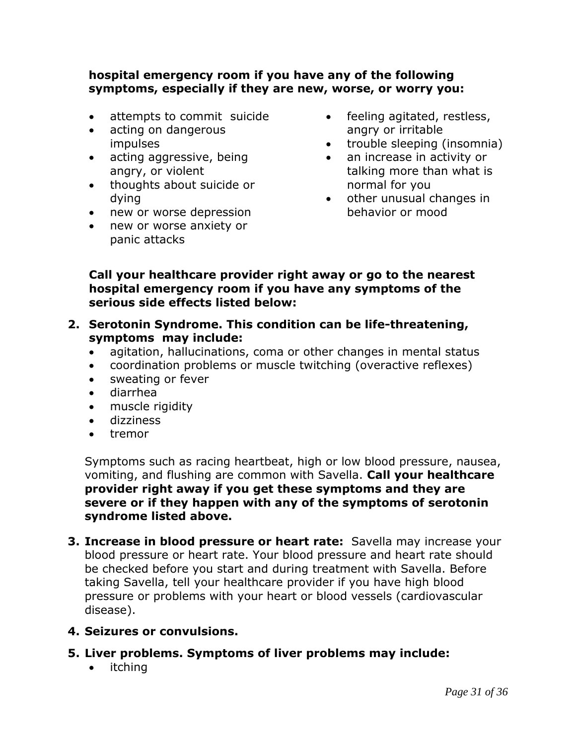## **hospital emergency room if you have any of the following symptoms, especially if they are new, worse, or worry you:**

- attempts to commit suicide
- acting on dangerous impulses
- acting aggressive, being angry, or violent
- thoughts about suicide or dying
- new or worse depression
- new or worse anxiety or panic attacks
- feeling agitated, restless, angry or irritable
- trouble sleeping (insomnia)
- an increase in activity or talking more than what is normal for you
- other unusual changes in behavior or mood

## **Call your healthcare provider right away or go to the nearest hospital emergency room if you have any symptoms of the serious side effects listed below:**

- **2. Serotonin Syndrome. This condition can be life-threatening, symptoms may include:**
	- agitation, hallucinations, coma or other changes in mental status
	- coordination problems or muscle twitching (overactive reflexes)
	- sweating or fever
	- diarrhea
	- muscle rigidity
	- dizziness
	- tremor

Symptoms such as racing heartbeat, high or low blood pressure, nausea, vomiting, and flushing are common with Savella. **Call your healthcare provider right away if you get these symptoms and they are severe or if they happen with any of the symptoms of serotonin syndrome listed above.**

**3. Increase in blood pressure or heart rate:** Savella may increase your blood pressure or heart rate. Your blood pressure and heart rate should be checked before you start and during treatment with Savella. Before taking Savella, tell your healthcare provider if you have high blood pressure or problems with your heart or blood vessels (cardiovascular disease).

## **4. Seizures or convulsions.**

- **5. Liver problems. Symptoms of liver problems may include:**
	- itching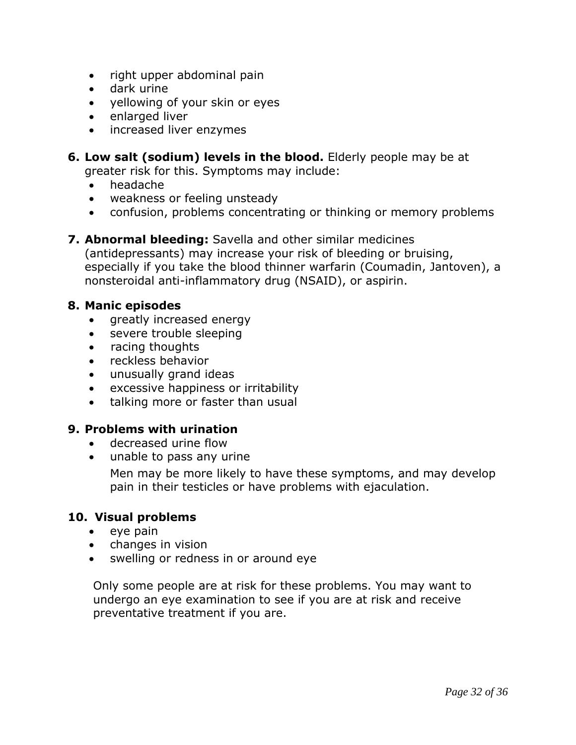- right upper abdominal pain
- dark urine
- yellowing of your skin or eyes
- enlarged liver
- increased liver enzymes
- **6. Low salt (sodium) levels in the blood.** Elderly people may be at greater risk for this. Symptoms may include:
	- headache
	- weakness or feeling unsteady
	- confusion, problems concentrating or thinking or memory problems
- **7. Abnormal bleeding:** Savella and other similar medicines

(antidepressants) may increase your risk of bleeding or bruising, especially if you take the blood thinner warfarin (Coumadin, Jantoven), a nonsteroidal anti-inflammatory drug (NSAID), or aspirin.

#### **8. Manic episodes**

- greatly increased energy
- severe trouble sleeping
- racing thoughts
- reckless behavior
- unusually grand ideas
- excessive happiness or irritability
- talking more or faster than usual

## **9. Problems with urination**

- decreased urine flow
- unable to pass any urine

Men may be more likely to have these symptoms, and may develop pain in their testicles or have problems with ejaculation.

## **10. Visual problems**

- $\bullet$  eye pain
- changes in vision
- swelling or redness in or around eye

Only some people are at risk for these problems. You may want to undergo an eye examination to see if you are at risk and receive preventative treatment if you are.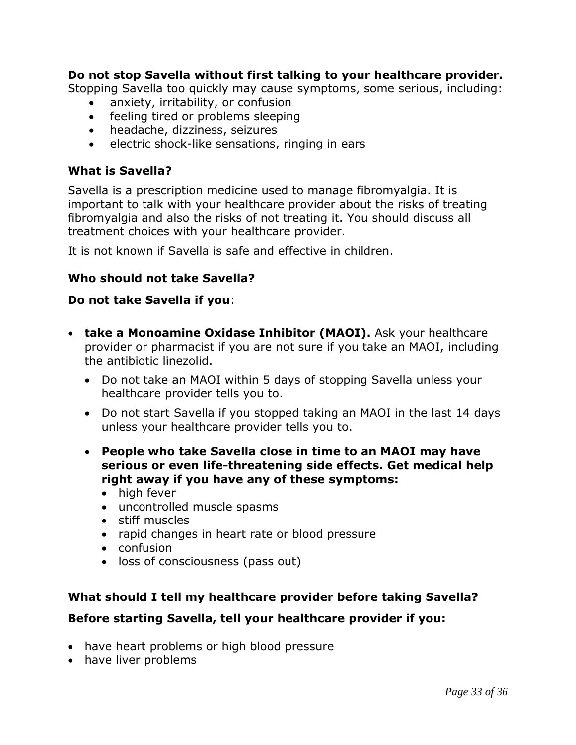## **Do not stop Savella without first talking to your healthcare provider.**

Stopping Savella too quickly may cause symptoms, some serious, including:

- anxiety, irritability, or confusion
- feeling tired or problems sleeping
- headache, dizziness, seizures
- **e** electric shock-like sensations, ringing in ears

## **What is Savella?**

Savella is a prescription medicine used to manage fibromyalgia. It is important to talk with your healthcare provider about the risks of treating fibromyalgia and also the risks of not treating it. You should discuss all treatment choices with your healthcare provider.

It is not known if Savella is safe and effective in children.

## **Who should not take Savella?**

## **Do not take Savella if you**:

- **take a Monoamine Oxidase Inhibitor (MAOI).** Ask your healthcare provider or pharmacist if you are not sure if you take an MAOI, including the antibiotic linezolid.
	- Do not take an MAOI within 5 days of stopping Savella unless your healthcare provider tells you to.
	- Do not start Savella if you stopped taking an MAOI in the last 14 days unless your healthcare provider tells you to.
	- **People who take Savella close in time to an MAOI may have serious or even life-threatening side effects. Get medical help right away if you have any of these symptoms:**
		- high fever
		- uncontrolled muscle spasms
		- stiff muscles
		- rapid changes in heart rate or blood pressure
		- confusion
		- loss of consciousness (pass out)

# **What should I tell my healthcare provider before taking Savella?**

# **Before starting Savella, tell your healthcare provider if you:**

- have heart problems or high blood pressure
- have liver problems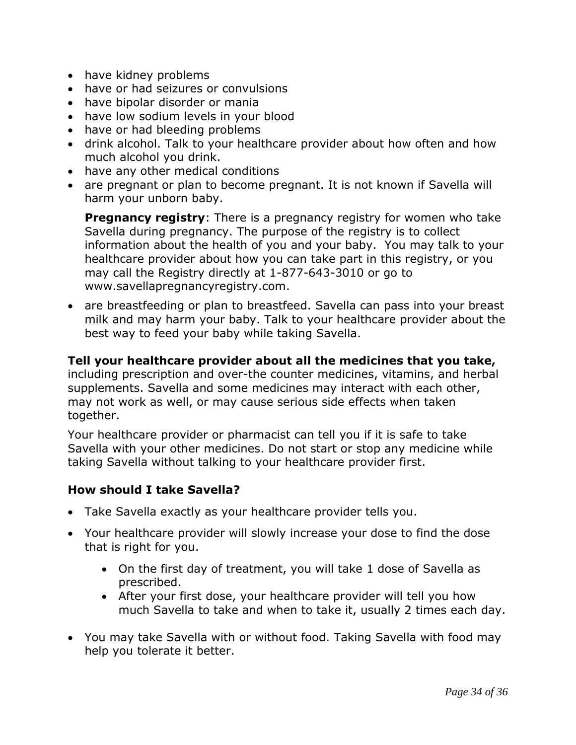- have kidney problems
- have or had seizures or convulsions
- have bipolar disorder or mania
- have low sodium levels in your blood
- have or had bleeding problems
- drink alcohol. Talk to your healthcare provider about how often and how much alcohol you drink.
- have any other medical conditions
- are pregnant or plan to become pregnant. It is not known if Savella will harm your unborn baby.

**Pregnancy registry:** There is a pregnancy registry for women who take Savella during pregnancy. The purpose of the registry is to collect information about the health of you and your baby. You may talk to your healthcare provider about how you can take part in this registry, or you may call the Registry directly at 1-877-643-3010 or go to www.savellapregnancyregistry.com.

 are breastfeeding or plan to breastfeed. Savella can pass into your breast milk and may harm your baby. Talk to your healthcare provider about the best way to feed your baby while taking Savella.

#### **Tell your healthcare provider about all the medicines that you take,**

including prescription and over-the counter medicines, vitamins, and herbal supplements. Savella and some medicines may interact with each other, may not work as well, or may cause serious side effects when taken together.

Your healthcare provider or pharmacist can tell you if it is safe to take Savella with your other medicines. Do not start or stop any medicine while taking Savella without talking to your healthcare provider first.

#### **How should I take Savella?**

- Take Savella exactly as your healthcare provider tells you.
- Your healthcare provider will slowly increase your dose to find the dose that is right for you.
	- On the first day of treatment, you will take 1 dose of Savella as prescribed.
	- After your first dose, your healthcare provider will tell you how much Savella to take and when to take it, usually 2 times each day.
- You may take Savella with or without food. Taking Savella with food may help you tolerate it better.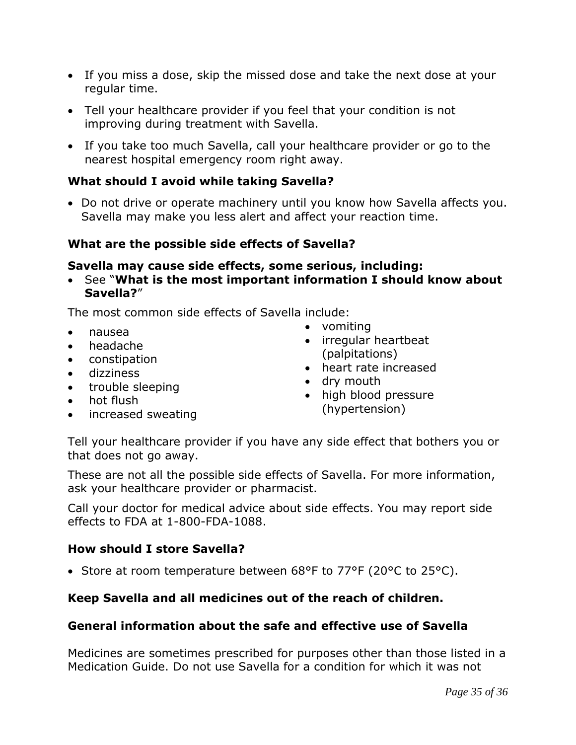- If you miss a dose, skip the missed dose and take the next dose at your regular time.
- Tell your healthcare provider if you feel that your condition is not improving during treatment with Savella.
- If you take too much Savella, call your healthcare provider or go to the nearest hospital emergency room right away.

## **What should I avoid while taking Savella?**

 Do not drive or operate machinery until you know how Savella affects you. Savella may make you less alert and affect your reaction time.

## **What are the possible side effects of Savella?**

## **Savella may cause side effects, some serious, including:**

 See "**What is the most important information I should know about Savella?**"

The most common side effects of Savella include:

- nausea
- headache
- constipation
- dizziness
- trouble sleeping
- hot flush
- increased sweating
- vomiting
- irregular heartbeat (palpitations)
- heart rate increased
- dry mouth
- high blood pressure (hypertension)

Tell your healthcare provider if you have any side effect that bothers you or that does not go away.

These are not all the possible side effects of Savella. For more information, ask your healthcare provider or pharmacist.

Call your doctor for medical advice about side effects. You may report side effects to FDA at 1-800-FDA-1088.

## **How should I store Savella?**

• Store at room temperature between 68°F to 77°F (20°C to 25°C).

# **Keep Savella and all medicines out of the reach of children.**

# **General information about the safe and effective use of Savella**

Medicines are sometimes prescribed for purposes other than those listed in a Medication Guide. Do not use Savella for a condition for which it was not